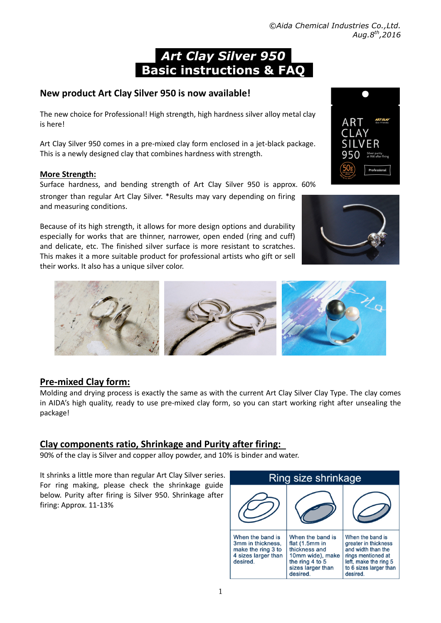# *Art Clay Silver 950*   **Basic instructions & FAQ**

# **New product Art Clay Silver 950 is now available!**

The new choice for Professional! High strength, high hardness silver alloy metal clay is here!

Art Clay Silver 950 comes in a pre-mixed clay form enclosed in a jet-black package. This is a newly designed clay that combines hardness with strength.

### **More Strength:**

Surface hardness, and bending strength of Art Clay Silver 950 is approx. 60% stronger than regular Art Clay Silver. \*Results may vary depending on firing and measuring conditions.

Because of its high strength, it allows for more design options and durability especially for works that are thinner, narrower, open ended (ring and cuff) and delicate, etc. The finished silver surface is more resistant to scratches. This makes it a more suitable product for professional artists who gift or sell their works. It also has a unique silver color.



Molding and drying process is exactly the same as with the current Art Clay Silver Clay Type. The clay comes in AIDA's high quality, ready to use pre-mixed clay form, so you can start working right after unsealing the package!

### **Clay components ratio, Shrinkage and Purity after firing:**

90% of the clay is Silver and copper alloy powder, and 10% is binder and water.

It shrinks a little more than regular Art Clay Silver series. For ring making, please check the shrinkage guide below. Purity after firing is Silver 950. Shrinkage after firing: Approx. 11-13%







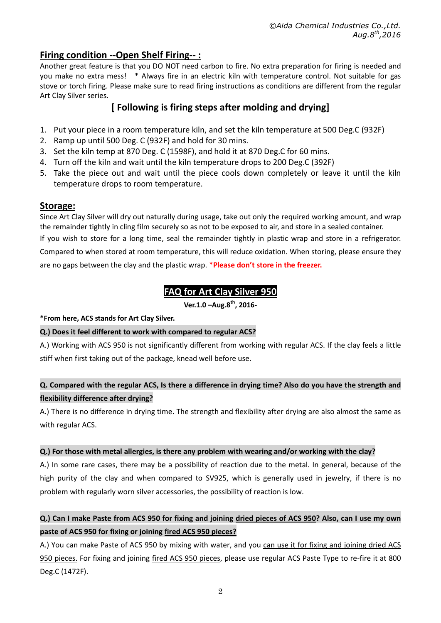# **Firing condition --Open Shelf Firing-- :**

Another great feature is that you DO NOT need carbon to fire. No extra preparation for firing is needed and you make no extra mess! \* Always fire in an electric kiln with temperature control. Not suitable for gas stove or torch firing. Please make sure to read firing instructions as conditions are different from the regular Art Clay Silver series.

# **[ Following is firing steps after molding and drying]**

- 1. Put your piece in a room temperature kiln, and set the kiln temperature at 500 Deg.C (932F)
- 2. Ramp up until 500 Deg. C (932F) and hold for 30 mins.
- 3. Set the kiln temp at 870 Deg. C (1598F), and hold it at 870 Deg.C for 60 mins.
- 4. Turn off the kiln and wait until the kiln temperature drops to 200 Deg.C (392F)
- 5. Take the piece out and wait until the piece cools down completely or leave it until the kiln temperature drops to room temperature.

### **Storage:**

Since Art Clay Silver will dry out naturally during usage, take out only the required working amount, and wrap the remainder tightly in cling film securely so as not to be exposed to air, and store in a sealed container.

If you wish to store for a long time, seal the remainder tightly in plastic wrap and store in a refrigerator. Compared to when stored at room temperature, this will reduce oxidation. When storing, please ensure they are no gaps between the clay and the plastic wrap. \***Please don't store in the freezer.** 

# **FAQ for Art Clay Silver 950**

**Ver.1.0 –Aug.8th, 2016-** 

### **\*From here, ACS stands for Art Clay Silver.**

### **Q.) Does it feel different to work with compared to regular ACS?**

A.) Working with ACS 950 is not significantly different from working with regular ACS. If the clay feels a little stiff when first taking out of the package, knead well before use.

### **Q. Compared with the regular ACS, Is there a difference in drying time? Also do you have the strength and flexibility difference after drying?**

A.) There is no difference in drying time. The strength and flexibility after drying are also almost the same as with regular ACS.

### **Q.) For those with metal allergies, is there any problem with wearing and/or working with the clay?**

A.) In some rare cases, there may be a possibility of reaction due to the metal. In general, because of the high purity of the clay and when compared to SV925, which is generally used in jewelry, if there is no problem with regularly worn silver accessories, the possibility of reaction is low.

## **Q.) Can I make Paste from ACS 950 for fixing and joining dried pieces of ACS 950? Also, can I use my own paste of ACS 950 for fixing or joining fired ACS 950 pieces?**

A.) You can make Paste of ACS 950 by mixing with water, and you can use it for fixing and joining dried ACS 950 pieces. For fixing and joining fired ACS 950 pieces, please use regular ACS Paste Type to re-fire it at 800 Deg.C (1472F).